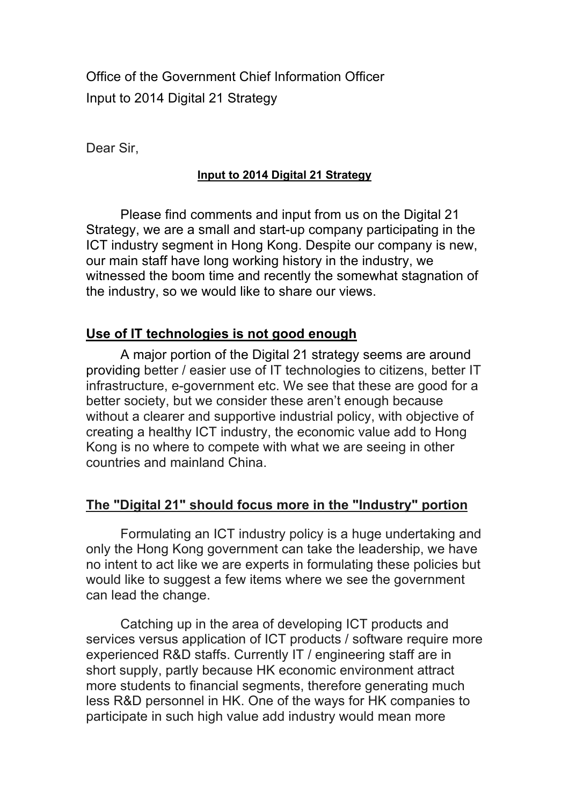Office of the Government Chief Information Officer Input to 2014 Digital 21 Strategy<br>Dear Sir,

Dear Sir.

#### **Input to 2014 Digital 21 Strategy**

 Please find comments and input from us on the Digital 21 Strategy, we are a small and start-up company participating in the our main staff have long working history in the industry, we witnessed the boom time and recently the somewhat stagnation of ICT industry segment in Hong Kong. Despite our company is new, the industry, so we would like to share our views.

## **Use of IT technologies is not good enough**

 A major portion of the Digital 21 strategy seems are around providing better / easier use of IT technologies to citizens, better IT infrastructure, e-government etc. We see that these are good for a better society, but we consider these aren't enough because without a clearer and supportive industrial policy, with objective of creating a healthy ICT industry, the economic value add to Hong Kong is no where to compete with what we are seeing in other countries and mainland China.

#### **The "Digital 21" should focus more in the "Industry" portion**

 no intent to act like we are experts in formulating these policies but would like to suggest a few items where we see the government Formulating an ICT industry policy is a huge undertaking and only the Hong Kong government can take the leadership, we have can lead the change.

 Catching up in the area of developing ICT products and experienced R&D staffs. Currently IT / engineering staff are in short supply, partly because HK economic environment attract less R&D personnel in HK. One of the ways for HK companies to services versus application of ICT products / software require more more students to financial segments, therefore generating much participate in such high value add industry would mean more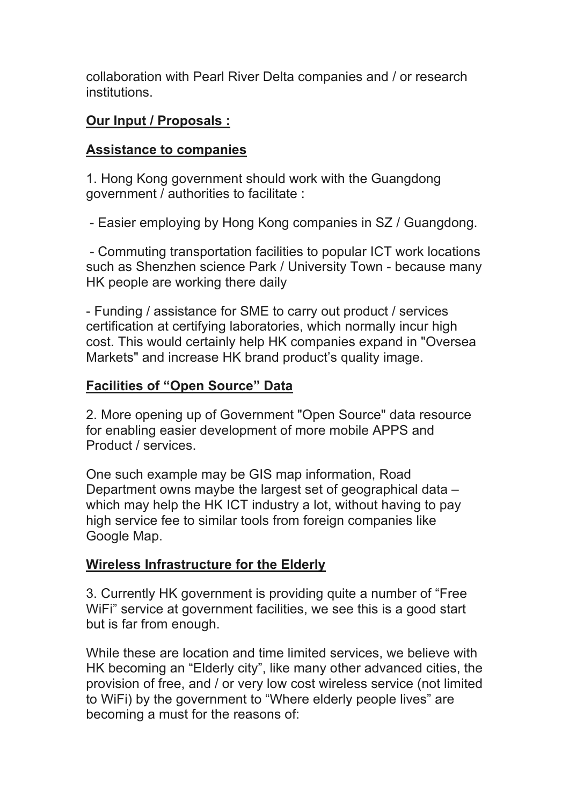collaboration with Pearl River Delta companies and / or research institutions.

# **Our Input / Proposals :**

## **Assistance to companies**

 government / authorities to facilitate : 1. Hong Kong government should work with the Guangdong

- Easier employing by Hong Kong companies in SZ / Guangdong.

 - Commuting transportation facilities to popular ICT work locations such as Shenzhen science Park / University Town - because many HK people are working there daily

 - Funding / assistance for SME to carry out product / services certification at certifying laboratories, which normally incur high cost. This would certainly help HK companies expand in "Oversea Markets" and increase HK brand product's quality image.

## **Facilities of "Open Source" Data**

 for enabling easier development of more mobile APPS and Product / services. 2. More opening up of Government "Open Source" data resource

 One such example may be GIS map information, Road Department owns maybe the largest set of geographical data – which may help the HK ICT industry a lot, without having to pay high service fee to similar tools from foreign companies like Google Map.

# **Wireless Infrastructure for the Elderly**

 3. Currently HK government is providing quite a number of "Free WiFi" service at government facilities, we see this is a good start but is far from enough.

 While these are location and time limited services, we believe with HK becoming an "Elderly city", like many other advanced cities, the becoming a must for the reasons of: provision of free, and / or very low cost wireless service (not limited to WiFi) by the government to "Where elderly people lives" are